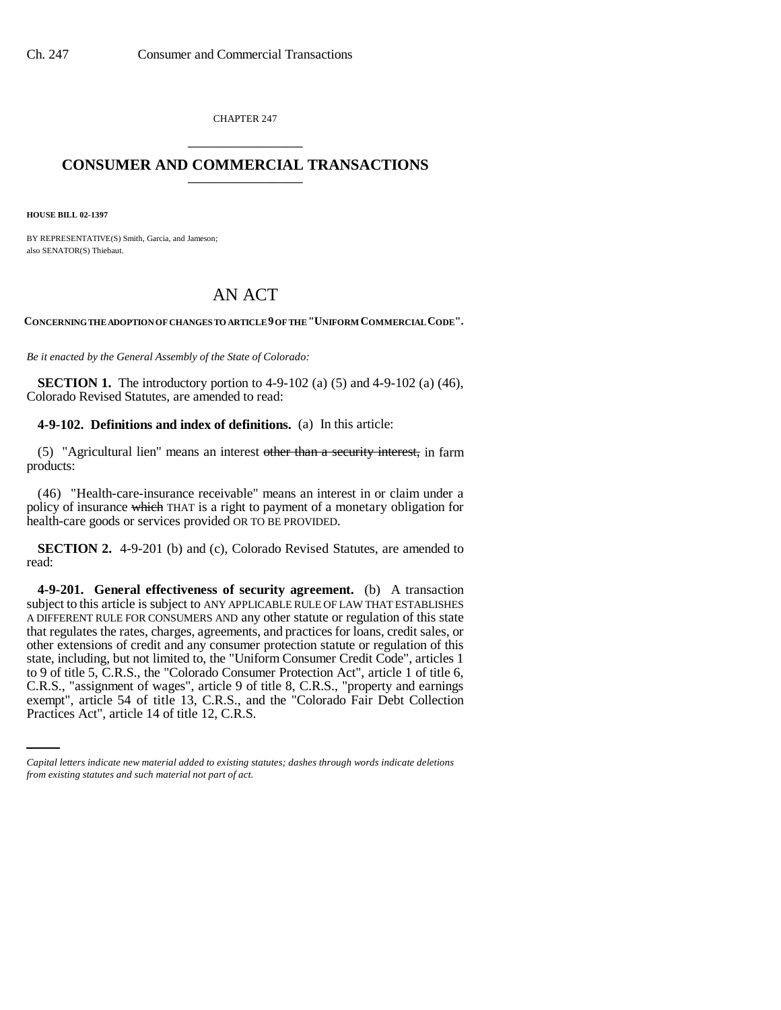CHAPTER 247 \_\_\_\_\_\_\_\_\_\_\_\_\_\_\_

## **CONSUMER AND COMMERCIAL TRANSACTIONS** \_\_\_\_\_\_\_\_\_\_\_\_\_\_\_

**HOUSE BILL 02-1397**

BY REPRESENTATIVE(S) Smith, Garcia, and Jameson; also SENATOR(S) Thiebaut.

## AN ACT

**CONCERNING THE ADOPTION OF CHANGES TO ARTICLE 9 OF THE "UNIFORM COMMERCIAL CODE".**

*Be it enacted by the General Assembly of the State of Colorado:*

**SECTION 1.** The introductory portion to  $4-9-102$  (a)  $(5)$  and  $4-9-102$  (a)  $(46)$ , Colorado Revised Statutes, are amended to read:

**4-9-102. Definitions and index of definitions.** (a) In this article:

(5) "Agricultural lien" means an interest other than a security interest, in farm products:

(46) "Health-care-insurance receivable" means an interest in or claim under a policy of insurance which THAT is a right to payment of a monetary obligation for health-care goods or services provided OR TO BE PROVIDED.

**SECTION 2.** 4-9-201 (b) and (c), Colorado Revised Statutes, are amended to read:

C.R.S., "assignment of wages", article 9 of title 8, C.R.S., "property and earnings **4-9-201. General effectiveness of security agreement.** (b) A transaction subject to this article is subject to ANY APPLICABLE RULE OF LAW THAT ESTABLISHES A DIFFERENT RULE FOR CONSUMERS AND any other statute or regulation of this state that regulates the rates, charges, agreements, and practices for loans, credit sales, or other extensions of credit and any consumer protection statute or regulation of this state, including, but not limited to, the "Uniform Consumer Credit Code", articles 1 to 9 of title 5, C.R.S., the "Colorado Consumer Protection Act", article 1 of title 6, exempt", article 54 of title 13, C.R.S., and the "Colorado Fair Debt Collection Practices Act", article 14 of title 12, C.R.S.

*Capital letters indicate new material added to existing statutes; dashes through words indicate deletions from existing statutes and such material not part of act.*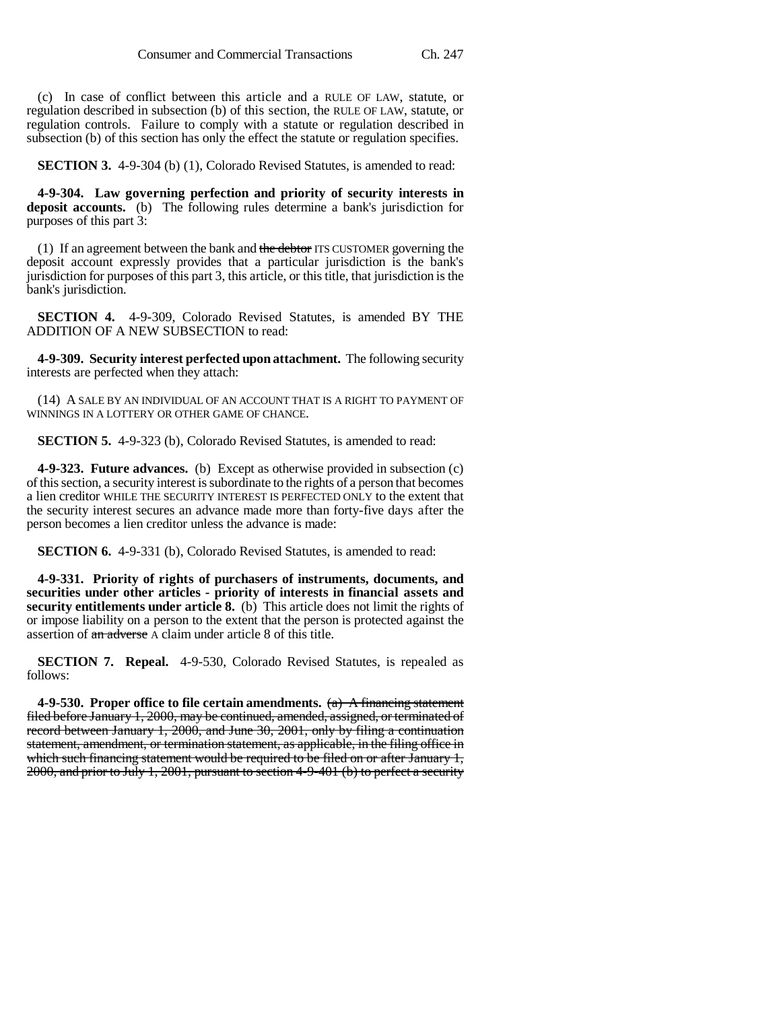(c) In case of conflict between this article and a RULE OF LAW, statute, or regulation described in subsection (b) of this section, the RULE OF LAW, statute, or regulation controls. Failure to comply with a statute or regulation described in subsection (b) of this section has only the effect the statute or regulation specifies.

**SECTION 3.** 4-9-304 (b) (1), Colorado Revised Statutes, is amended to read:

**4-9-304. Law governing perfection and priority of security interests in deposit accounts.** (b) The following rules determine a bank's jurisdiction for purposes of this part 3:

(1) If an agreement between the bank and the debtor ITS CUSTOMER governing the deposit account expressly provides that a particular jurisdiction is the bank's jurisdiction for purposes of this part 3, this article, or this title, that jurisdiction is the bank's jurisdiction.

**SECTION 4.** 4-9-309, Colorado Revised Statutes, is amended BY THE ADDITION OF A NEW SUBSECTION to read:

**4-9-309. Security interest perfected upon attachment.** The following security interests are perfected when they attach:

(14) A SALE BY AN INDIVIDUAL OF AN ACCOUNT THAT IS A RIGHT TO PAYMENT OF WINNINGS IN A LOTTERY OR OTHER GAME OF CHANCE.

**SECTION 5.** 4-9-323 (b), Colorado Revised Statutes, is amended to read:

**4-9-323. Future advances.** (b) Except as otherwise provided in subsection (c) of this section, a security interest is subordinate to the rights of a person that becomes a lien creditor WHILE THE SECURITY INTEREST IS PERFECTED ONLY to the extent that the security interest secures an advance made more than forty-five days after the person becomes a lien creditor unless the advance is made:

**SECTION 6.** 4-9-331 (b), Colorado Revised Statutes, is amended to read:

**4-9-331. Priority of rights of purchasers of instruments, documents, and securities under other articles - priority of interests in financial assets and security entitlements under article 8.** (b) This article does not limit the rights of or impose liability on a person to the extent that the person is protected against the assertion of an adverse A claim under article 8 of this title.

**SECTION 7. Repeal.** 4-9-530, Colorado Revised Statutes, is repealed as follows:

**4-9-530. Proper office to file certain amendments.** (a) A financing statement filed before January 1, 2000, may be continued, amended, assigned, or terminated of record between January 1, 2000, and June 30, 2001, only by filing a continuation statement, amendment, or termination statement, as applicable, in the filing office in which such financing statement would be required to be filed on or after January 1, 2000, and prior to July 1, 2001, pursuant to section 4-9-401 (b) to perfect a security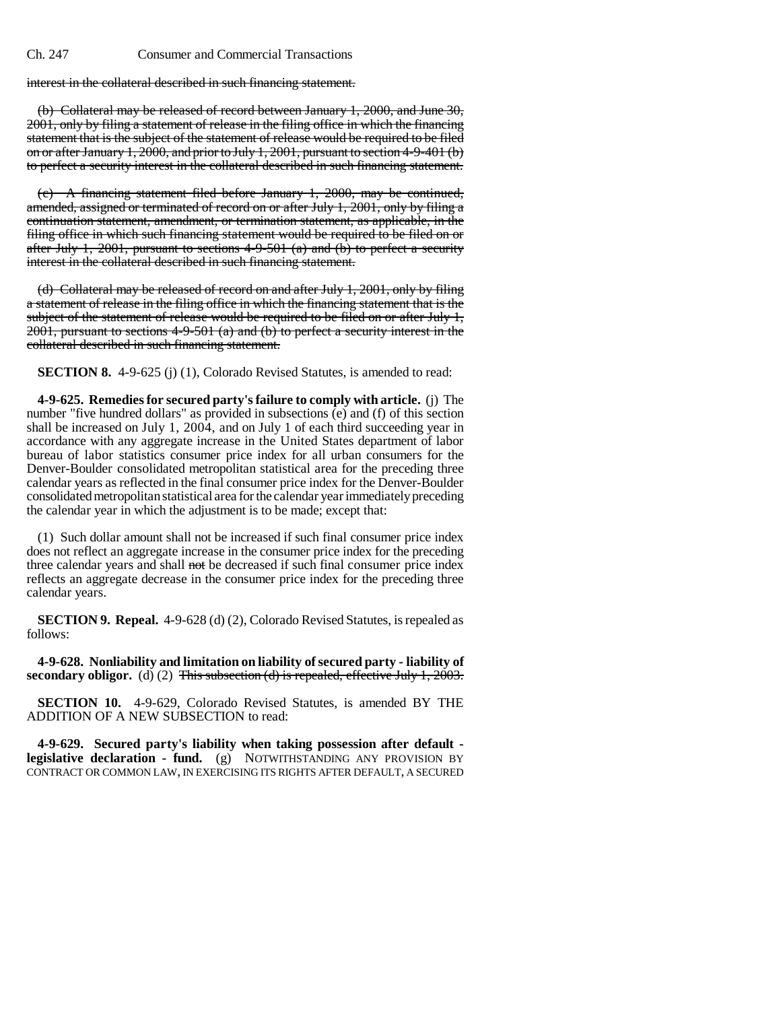interest in the collateral described in such financing statement.

(b) Collateral may be released of record between January 1, 2000, and June 30, 2001, only by filing a statement of release in the filing office in which the financing statement that is the subject of the statement of release would be required to be filed on or after January 1, 2000, and prior to July 1, 2001, pursuant to section 4-9-401 (b) to perfect a security interest in the collateral described in such financing statement.

(c) A financing statement filed before January 1, 2000, may be continued, amended, assigned or terminated of record on or after July 1, 2001, only by filing a continuation statement, amendment, or termination statement, as applicable, in the filing office in which such financing statement would be required to be filed on or after July 1, 2001, pursuant to sections  $4-9-501$  (a) and (b) to perfect a security interest in the collateral described in such financing statement.

(d) Collateral may be released of record on and after July 1, 2001, only by filing a statement of release in the filing office in which the financing statement that is the subject of the statement of release would be required to be filed on or after July 1,  $2001$ , pursuant to sections 4-9-501 (a) and (b) to perfect a security interest in the collateral described in such financing statement.

**SECTION 8.** 4-9-625 (j) (1), Colorado Revised Statutes, is amended to read:

**4-9-625. Remedies for secured party's failure to comply with article.** (j) The number "five hundred dollars" as provided in subsections (e) and (f) of this section shall be increased on July 1, 2004, and on July 1 of each third succeeding year in accordance with any aggregate increase in the United States department of labor bureau of labor statistics consumer price index for all urban consumers for the Denver-Boulder consolidated metropolitan statistical area for the preceding three calendar years as reflected in the final consumer price index for the Denver-Boulder consolidated metropolitan statistical area for the calendar year immediately preceding the calendar year in which the adjustment is to be made; except that:

(1) Such dollar amount shall not be increased if such final consumer price index does not reflect an aggregate increase in the consumer price index for the preceding three calendar years and shall not be decreased if such final consumer price index reflects an aggregate decrease in the consumer price index for the preceding three calendar years.

**SECTION 9. Repeal.** 4-9-628 (d) (2), Colorado Revised Statutes, is repealed as follows:

**4-9-628. Nonliability and limitation on liability of secured party - liability of secondary obligor.** (d) (2) This subsection (d) is repealed, effective July 1, 2003.

**SECTION 10.** 4-9-629, Colorado Revised Statutes, is amended BY THE ADDITION OF A NEW SUBSECTION to read:

**4-9-629. Secured party's liability when taking possession after default legislative declaration - fund.** (g) NOTWITHSTANDING ANY PROVISION BY CONTRACT OR COMMON LAW, IN EXERCISING ITS RIGHTS AFTER DEFAULT, A SECURED